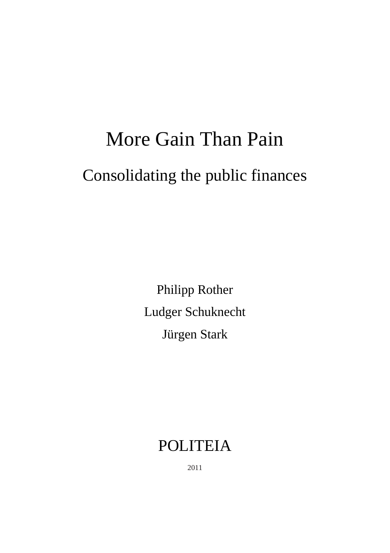# More Gain Than Pain Consolidating the public finances

Philipp Rother Ludger Schuknecht Jürgen Stark

## POLITEIA

2011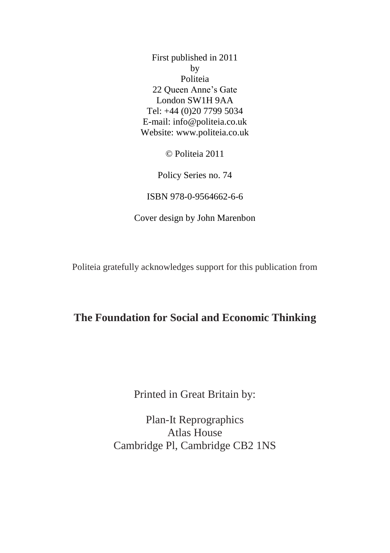First published in 2011 by Politeia 22 Queen Anne's Gate London SW1H 9AA Tel: +44 (0)20 7799 5034 E-mail: info@politeia.co.uk Website: www.politeia.co.uk

© Politeia 2011

Policy Series no. 74

ISBN 978-0-9564662-6-6

Cover design by John Marenbon

Politeia gratefully acknowledges support for this publication from

#### **The Foundation for Social and Economic Thinking**

Printed in Great Britain by:

Plan-It Reprographics Atlas House Cambridge Pl, Cambridge CB2 1NS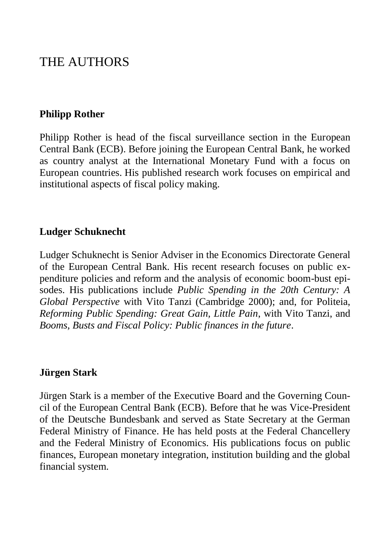## THE AUTHORS

#### **Philipp Rother**

Philipp Rother is head of the fiscal surveillance section in the European Central Bank (ECB). Before joining the European Central Bank, he worked as country analyst at the International Monetary Fund with a focus on European countries. His published research work focuses on empirical and institutional aspects of fiscal policy making.

#### **Ludger Schuknecht**

Ludger Schuknecht is Senior Adviser in the Economics Directorate General of the European Central Bank. His recent research focuses on public expenditure policies and reform and the analysis of economic boom-bust episodes. His publications include *Public Spending in the 20th Century: A Global Perspective* with Vito Tanzi (Cambridge 2000); and, for Politeia, *Reforming Public Spending: Great Gain, Little Pain*, with Vito Tanzi, and *Booms, Busts and Fiscal Policy: Public finances in the future*.

#### **Jürgen Stark**

Jürgen Stark is a member of the Executive Board and the Governing Council of the European Central Bank (ECB). Before that he was Vice-President of the Deutsche Bundesbank and served as State Secretary at the German Federal Ministry of Finance. He has held posts at the Federal Chancellery and the Federal Ministry of Economics. His publications focus on public finances, European monetary integration, institution building and the global financial system.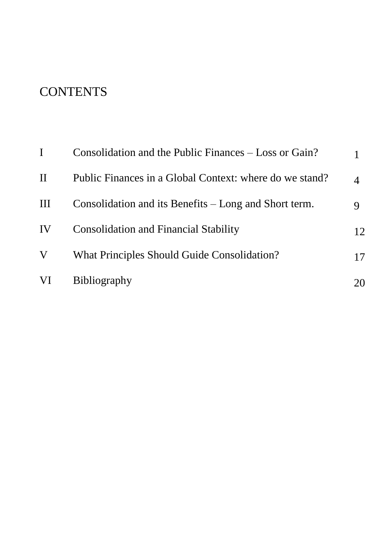## **CONTENTS**

|          | Consolidation and the Public Finances – Loss or Gain?   |    |
|----------|---------------------------------------------------------|----|
| $\rm II$ | Public Finances in a Global Context: where do we stand? | 4  |
| Ш        | Consolidation and its Benefits – Long and Short term.   | 9  |
| IV       | <b>Consolidation and Financial Stability</b>            | 12 |
| V        | What Principles Should Guide Consolidation?             | 17 |
| VI       | <b>Bibliography</b>                                     | 20 |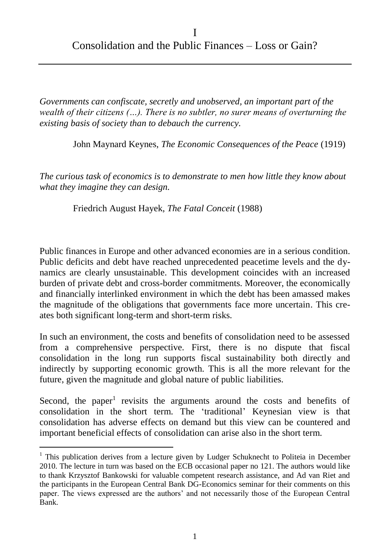*Governments can confiscate, secretly and unobserved, an important part of the wealth of their citizens (…). There is no subtler, no surer means of overturning the existing basis of society than to debauch the currency.*

John Maynard Keynes, *The Economic Consequences of the Peace* (1919)

*The curious task of economics is to demonstrate to men how little they know about what they imagine they can design.*

Friedrich August Hayek, *The Fatal Conceit* (1988)

Public finances in Europe and other advanced economies are in a serious condition. Public deficits and debt have reached unprecedented peacetime levels and the dynamics are clearly unsustainable. This development coincides with an increased burden of private debt and cross-border commitments. Moreover, the economically and financially interlinked environment in which the debt has been amassed makes the magnitude of the obligations that governments face more uncertain. This creates both significant long-term and short-term risks.

In such an environment, the costs and benefits of consolidation need to be assessed from a comprehensive perspective. First, there is no dispute that fiscal consolidation in the long run supports fiscal sustainability both directly and indirectly by supporting economic growth. This is all the more relevant for the future, given the magnitude and global nature of public liabilities.

Second, the paper<sup>1</sup> revisits the arguments around the costs and benefits of consolidation in the short term. The 'traditional' Keynesian view is that consolidation has adverse effects on demand but this view can be countered and important beneficial effects of consolidation can arise also in the short term.

 $\overline{a}$ 

<sup>&</sup>lt;sup>1</sup> This publication derives from a lecture given by Ludger Schuknecht to Politeia in December 2010. The lecture in turn was based on the ECB occasional paper no 121. The authors would like to thank Krzysztof Bankowski for valuable competent research assistance, and Ad van Riet and the participants in the European Central Bank DG-Economics seminar for their comments on this paper. The views expressed are the authors' and not necessarily those of the European Central Bank.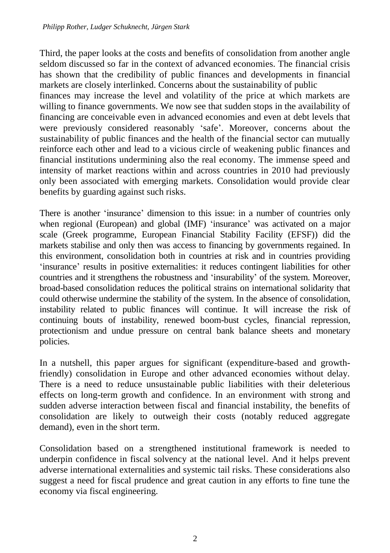Third, the paper looks at the costs and benefits of consolidation from another angle seldom discussed so far in the context of advanced economies. The financial crisis has shown that the credibility of public finances and developments in financial markets are closely interlinked. Concerns about the sustainability of public finances may increase the level and volatility of the price at which markets are willing to finance governments. We now see that sudden stops in the availability of financing are conceivable even in advanced economies and even at debt levels that were previously considered reasonably 'safe'. Moreover, concerns about the sustainability of public finances and the health of the financial sector can mutually reinforce each other and lead to a vicious circle of weakening public finances and financial institutions undermining also the real economy. The immense speed and intensity of market reactions within and across countries in 2010 had previously only been associated with emerging markets. Consolidation would provide clear benefits by guarding against such risks.

There is another 'insurance' dimension to this issue: in a number of countries only when regional (European) and global (IMF) 'insurance' was activated on a major scale (Greek programme, European Financial Stability Facility (EFSF)) did the markets stabilise and only then was access to financing by governments regained. In this environment, consolidation both in countries at risk and in countries providing 'insurance' results in positive externalities: it reduces contingent liabilities for other countries and it strengthens the robustness and 'insurability' of the system. Moreover, broad-based consolidation reduces the political strains on international solidarity that could otherwise undermine the stability of the system. In the absence of consolidation, instability related to public finances will continue. It will increase the risk of continuing bouts of instability, renewed boom-bust cycles, financial repression, protectionism and undue pressure on central bank balance sheets and monetary policies.

In a nutshell, this paper argues for significant (expenditure-based and growthfriendly) consolidation in Europe and other advanced economies without delay. There is a need to reduce unsustainable public liabilities with their deleterious effects on long-term growth and confidence. In an environment with strong and sudden adverse interaction between fiscal and financial instability, the benefits of consolidation are likely to outweigh their costs (notably reduced aggregate demand), even in the short term.

Consolidation based on a strengthened institutional framework is needed to underpin confidence in fiscal solvency at the national level. And it helps prevent adverse international externalities and systemic tail risks. These considerations also suggest a need for fiscal prudence and great caution in any efforts to fine tune the economy via fiscal engineering.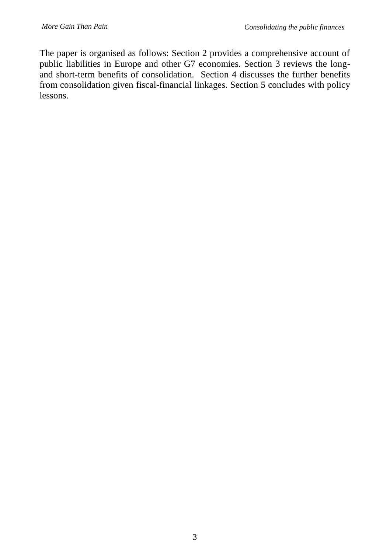The paper is organised as follows: Section 2 provides a comprehensive account of public liabilities in Europe and other G7 economies. Section 3 reviews the longand short-term benefits of consolidation. Section 4 discusses the further benefits from consolidation given fiscal-financial linkages. Section 5 concludes with policy lessons.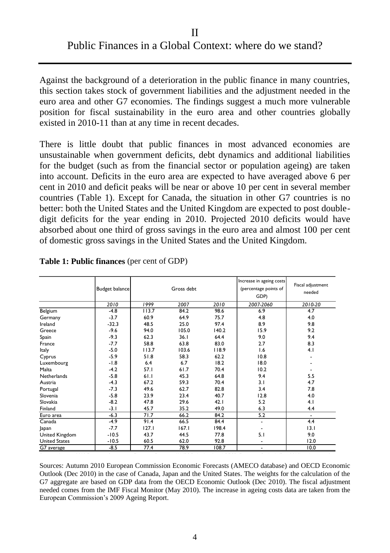#### II Public Finances in a Global Context: where do we stand?

Against the background of a deterioration in the public finance in many countries, this section takes stock of government liabilities and the adjustment needed in the euro area and other G7 economies. The findings suggest a much more vulnerable position for fiscal sustainability in the euro area and other countries globally existed in 2010-11 than at any time in recent decades.

There is little doubt that public finances in most advanced economies are unsustainable when government deficits, debt dynamics and additional liabilities for the budget (such as from the financial sector or population ageing) are taken into account. Deficits in the euro area are expected to have averaged above 6 per cent in 2010 and deficit peaks will be near or above 10 per cent in several member countries (Table 1). Except for Canada, the situation in other G7 countries is no better: both the United States and the United Kingdom are expected to post doubledigit deficits for the year ending in 2010. Projected 2010 deficits would have absorbed about one third of gross savings in the euro area and almost 100 per cent of domestic gross savings in the United States and the United Kingdom.

|                       | <b>Budget balance</b> |       | Gross debt |       | Increase in ageing costs<br>(percentage points of<br>GDP) | Fiscal adjustment<br>needed |
|-----------------------|-----------------------|-------|------------|-------|-----------------------------------------------------------|-----------------------------|
|                       | 2010                  | 1999  | 2007       | 2010  | 2007-2060                                                 | 2010-20                     |
| Belgium               | $-4.8$                | 113.7 | 84.2       | 98.6  | 6.9                                                       | 4.7                         |
| Germany               | $-3.7$                | 60.9  | 64.9       | 75.7  | 4.8                                                       | 4.0                         |
| Ireland               | $-32.3$               | 48.5  | 25.0       | 97.4  | 8.9                                                       | 9.8                         |
| Greece                | $-9.6$                | 94.0  | 105.0      | 140.2 | 15.9                                                      | 9.2                         |
| Spain                 | $-9.3$                | 62.3  | 36.1       | 64.4  | 9.0                                                       | 9.4                         |
| France                | $-7.7$                | 58.8  | 63.8       | 83.0  | 2.7                                                       | 8.3                         |
| Italy                 | $-5.0$                | 113.7 | 103.6      | 118.9 | 1.6                                                       | 4.1                         |
| Cyprus                | $-5.9$                | 51.8  | 58.3       | 62.2  | 10.8                                                      |                             |
| Luxembourg            | $-1.8$                | 6.4   | 6.7        | 18.2  | 18.0                                                      |                             |
| Malta                 | $-4.2$                | 57.I  | 61.7       | 70.4  | 10.2                                                      |                             |
| <b>Netherlands</b>    | $-5.8$                | 61.1  | 45.3       | 64.8  | 9.4                                                       | 5.5                         |
| Austria               | $-4.3$                | 67.2  | 59.3       | 70.4  | 3.1                                                       | 4.7                         |
| Portugal              | $-7.3$                | 49.6  | 62.7       | 82.8  | 3.4                                                       | 7.8                         |
| Slovenia              | $-5.8$                | 23.9  | 23.4       | 40.7  | 12.8                                                      | 4.0                         |
| Slovakia              | $-8.2$                | 47.8  | 29.6       | 42.1  | 5.2                                                       | 4.1                         |
| Finland               | $-3.1$                | 45.7  | 35.2       | 49.0  | 6.3                                                       | 4.4                         |
| Euro area             | $-6.3$                | 71.7  | 66.2       | 84.2  | 5.2                                                       | $\overline{\phantom{a}}$    |
| Canada                | $-4.9$                | 91.4  | 66.5       | 84.4  | $\qquad \qquad \blacksquare$                              | 4.4                         |
| Japan                 | $-7.7$                | 127.1 | 167.1      | 198.4 | $\overline{\phantom{a}}$                                  | 13.1                        |
| <b>United Kingdom</b> | $-10.5$               | 43.7  | 44.5       | 77.8  | 5.1                                                       | 9.0                         |
| <b>United States</b>  | $-10.5$               | 60.5  | 62.0       | 92.8  | $\overline{\phantom{a}}$                                  | 12.0                        |
| G7 average            | $-8.5$                | 77.4  | 78.9       | 108.7 | $\overline{\phantom{a}}$                                  | 10.0                        |

|  |  |  | <b>Table 1: Public finances</b> (per cent of GDP) |  |  |  |  |
|--|--|--|---------------------------------------------------|--|--|--|--|
|--|--|--|---------------------------------------------------|--|--|--|--|

Sources: Autumn 2010 European Commission Economic Forecasts (AMECO database) and OECD Economic Outlook (Dec 2010) in the case of Canada, Japan and the United States. The weights for the calculation of the G7 aggregate are based on GDP data from the OECD Economic Outlook (Dec 2010). The fiscal adjustment needed comes from the IMF Fiscal Monitor (May 2010). The increase in ageing costs data are taken from the European Commission's 2009 Ageing Report.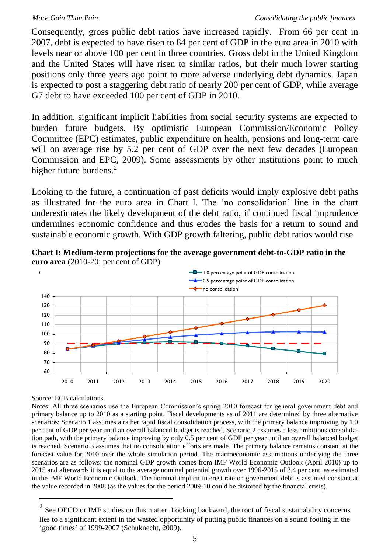Consequently, gross public debt ratios have increased rapidly. From 66 per cent in 2007, debt is expected to have risen to 84 per cent of GDP in the euro area in 2010 with levels near or above 100 per cent in three countries. Gross debt in the United Kingdom and the United States will have risen to similar ratios, but their much lower starting positions only three years ago point to more adverse underlying debt dynamics. Japan is expected to post a staggering debt ratio of nearly 200 per cent of GDP, while average G7 debt to have exceeded 100 per cent of GDP in 2010.

In addition, significant implicit liabilities from social security systems are expected to burden future budgets. By optimistic European Commission/Economic Policy Committee (EPC) estimates, public expenditure on health, pensions and long-term care will on average rise by 5.2 per cent of GDP over the next few decades (European Commission and EPC, 2009). Some assessments by other institutions point to much higher future burdens.<sup>2</sup>

Looking to the future, a continuation of past deficits would imply explosive debt paths as illustrated for the euro area in Chart I. The 'no consolidation' line in the chart underestimates the likely development of the debt ratio, if continued fiscal imprudence undermines economic confidence and thus erodes the basis for a return to sound and sustainable economic growth. With GDP growth faltering, public debt ratios would rise





Source: ECB calculations.

 $\overline{a}$ 

Notes: All three scenarios use the European Commission's spring 2010 forecast for general government debt and primary balance up to 2010 as a starting point. Fiscal developments as of 2011 are determined by three alternative scenarios: Scenario 1 assumes a rather rapid fiscal consolidation process, with the primary balance improving by 1.0 per cent of GDP per year until an overall balanced budget is reached. Scenario 2 assumes a less ambitious consolidation path, with the primary balance improving by only 0.5 per cent of GDP per year until an overall balanced budget is reached. Scenario 3 assumes that no consolidation efforts are made. The primary balance remains constant at the forecast value for 2010 over the whole simulation period. The macroeconomic assumptions underlying the three scenarios are as follows: the nominal GDP growth comes from IMF World Economic Outlook (April 2010) up to 2015 and afterwards it is equal to the average nominal potential growth over 1996-2015 of 3.4 per cent, as estimated in the IMF World Economic Outlook. The nominal implicit interest rate on government debt is assumed constant at the value recorded in 2008 (as the values for the period 2009-10 could be distorted by the financial crisis).

 $2^{2}$  See OECD or IMF studies on this matter. Looking backward, the root of fiscal sustainability concerns lies to a significant extent in the wasted opportunity of putting public finances on a sound footing in the 'good times' of 1999-2007 (Schuknecht, 2009).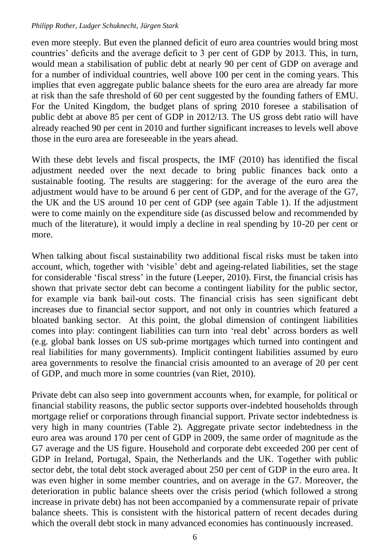#### *Philipp Rother, Ludger Schuknecht, Jürgen Stark*

even more steeply. But even the planned deficit of euro area countries would bring most countries' deficits and the average deficit to 3 per cent of GDP by 2013. This, in turn, would mean a stabilisation of public debt at nearly 90 per cent of GDP on average and for a number of individual countries, well above 100 per cent in the coming years. This implies that even aggregate public balance sheets for the euro area are already far more at risk than the safe threshold of 60 per cent suggested by the founding fathers of EMU. For the United Kingdom, the budget plans of spring 2010 foresee a stabilisation of public debt at above 85 per cent of GDP in 2012/13. The US gross debt ratio will have already reached 90 per cent in 2010 and further significant increases to levels well above those in the euro area are foreseeable in the years ahead.

With these debt levels and fiscal prospects, the IMF (2010) has identified the fiscal adjustment needed over the next decade to bring public finances back onto a sustainable footing. The results are staggering: for the average of the euro area the adjustment would have to be around 6 per cent of GDP, and for the average of the G7, the UK and the US around 10 per cent of GDP (see again Table 1). If the adjustment were to come mainly on the expenditure side (as discussed below and recommended by much of the literature), it would imply a decline in real spending by 10-20 per cent or more.

When talking about fiscal sustainability two additional fiscal risks must be taken into account, which, together with 'visible' debt and ageing-related liabilities, set the stage for considerable 'fiscal stress' in the future (Leeper, 2010). First, the financial crisis has shown that private sector debt can become a contingent liability for the public sector, for example via bank bail-out costs. The financial crisis has seen significant debt increases due to financial sector support, and not only in countries which featured a bloated banking sector. At this point, the global dimension of contingent liabilities comes into play: contingent liabilities can turn into 'real debt' across borders as well (e.g. global bank losses on US sub-prime mortgages which turned into contingent and real liabilities for many governments). Implicit contingent liabilities assumed by euro area governments to resolve the financial crisis amounted to an average of 20 per cent of GDP, and much more in some countries (van Riet, 2010).

Private debt can also seep into government accounts when, for example, for political or financial stability reasons, the public sector supports over-indebted households through mortgage relief or corporations through financial support. Private sector indebtedness is very high in many countries (Table 2). Aggregate private sector indebtedness in the euro area was around 170 per cent of GDP in 2009, the same order of magnitude as the G7 average and the US figure. Household and corporate debt exceeded 200 per cent of GDP in Ireland, Portugal, Spain, the Netherlands and the UK. Together with public sector debt, the total debt stock averaged about 250 per cent of GDP in the euro area. It was even higher in some member countries, and on average in the G7. Moreover, the deterioration in public balance sheets over the crisis period (which followed a strong increase in private debt) has not been accompanied by a commensurate repair of private balance sheets. This is consistent with the historical pattern of recent decades during which the overall debt stock in many advanced economies has continuously increased.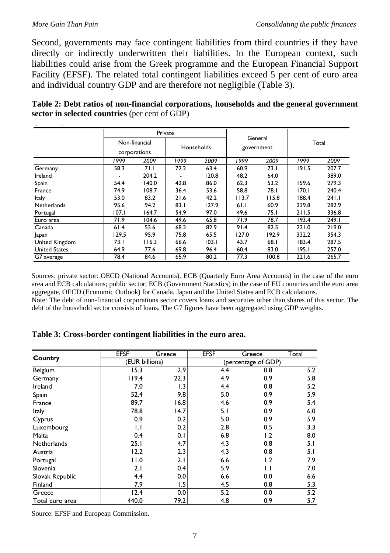Second, governments may face contingent liabilities from third countries if they have directly or indirectly underwritten their liabilities. In the European context, such liabilities could arise from the Greek programme and the European Financial Support Facility (EFSF). The related total contingent liabilities exceed 5 per cent of euro area and individual country GDP and are therefore not negligible (Table 3).

|                                                | Table 2: Debt ratios of non-financial corporations, households and the general government |
|------------------------------------------------|-------------------------------------------------------------------------------------------|
| sector in selected countries (per cent of GDP) |                                                                                           |

| ,                    |         |                               |            |       |                       |       |       |       |
|----------------------|---------|-------------------------------|------------|-------|-----------------------|-------|-------|-------|
|                      | Private |                               |            |       |                       |       |       |       |
|                      |         | Non-financial<br>corporations | Households |       | General<br>government |       | Total |       |
|                      | 1999    | 2009                          | 1999       | 2009  | 1999                  | 2009  | 1999  | 2009  |
| Germany              | 58.3    | 71.1                          | 72.2       | 63.4  | 60.9                  | 73.1  | 191.5 | 207.7 |
| Ireland              | ٠       | 204.2                         |            | 120.8 | 48.2                  | 64.0  |       | 389.0 |
| Spain                | 54.4    | 140.0                         | 42.8       | 86.0  | 62.3                  | 53.2  | 59.6  | 279.3 |
| France               | 74.9    | 108.7                         | 36.4       | 53.6  | 58.8                  | 78.I  | 170.1 | 240.4 |
| Italy                | 53.0    | 83.2                          | 21.6       | 42.2  | 113.7                 | 115.8 | 188.4 | 241.1 |
| Netherlands          | 95.6    | 94.2                          | 83.1       | 127.9 | 61.1                  | 60.9  | 239.8 | 282.9 |
| Portugal             | 107.1   | 164.7                         | 54.9       | 97.0  | 49.6                  | 75.I  | 211.5 | 336.8 |
| Euro area            | 71.9    | 104.6                         | 49.6       | 65.8  | 71.9                  | 78.7  | 193.4 | 249.1 |
| Canada               | 61.4    | 53.6                          | 68.3       | 82.9  | 91.4                  | 82.5  | 221.0 | 219.0 |
| Japan                | 129.5   | 95.9                          | 75.8       | 65.5  | 127.0                 | 192.9 | 332.2 | 354.3 |
| United Kingdom       | 73.I    | 116.3                         | 66.6       | 103.1 | 43.7                  | 68.1  | 183.4 | 287.5 |
| <b>United States</b> | 64.9    | 77.6                          | 69.8       | 96.4  | 60.4                  | 83.0  | 195.1 | 257.0 |
| G7 average           | 78.4    | 84.6                          | 65.9       | 80.2  | 77.3                  | 100.8 | 221.6 | 265.7 |

Sources: private sector: OECD (National Accounts), ECB (Quarterly Euro Area Accounts) in the case of the euro area and ECB calculations; public sector; ECB (Government Statistics) in the case of EU countries and the euro area aggregate, OECD (Economic Outlook) for Canada, Japan and the United States and ECB calculations. Note: The debt of non-financial corporations sector covers loans and securities other than shares of this sector. The debt of the household sector consists of loans. The G7 figures have been aggregated using GDP weights.

#### **Table 3: Cross-border contingent liabilities in the euro area.**

|                    | <b>EFSF</b>    | Greece | <b>EFSF</b> | Greece              | Total |
|--------------------|----------------|--------|-------------|---------------------|-------|
| Country            | (EUR billions) |        |             | (percentage of GDP) |       |
| Belgium            | 15.3           | 2.9    | 4.4         | 0.8                 | 5.2   |
| Germany            | 119.4          | 22.3   | 4.9         | 0.9                 | 5.8   |
| Ireland            | 7.0            | 1.3    | 4.4         | 0.8                 | 5.2   |
| Spain              | 52.4           | 9.8    | 5.0         | 0.9                 | 5.9   |
| France             | 89.7           | 16.8   | 4.6         | 0.9                 | 5.4   |
| Italy              | 78.8           | 14.7   | 5.1         | 0.9                 | 6.0   |
| Cyprus             | 0.9            | 0.2    | 5.0         | 0.9                 | 5.9   |
| Luxembourg         | IJ             | 0.2    | 2.8         | 0.5                 | 3.3   |
| Malta              | 0.4            | 0.1    | 6.8         | 1.2                 | 8.0   |
| <b>Netherlands</b> | 25.1           | 4.7    | 4.3         | 0.8                 | 5.1   |
| Austria            | 12.2           | 2.3    | 4.3         | 0.8                 | 5.1   |
| Portugal           | 11.0           | 2.1    | 6.6         | 1.2                 | 7.9   |
| Slovenia           | 2.1            | 0.4    | 5.9         | IJ                  | 7.0   |
| Slovak Republic    | 4.4            | 0.0    | 6.6         | 0.0                 | 6.6   |
| Finland            | 7.9            | 1.5    | 4.5         | 0.8                 | 5.3   |
| Greece             | 12.4           | 0.0    | 5.2         | 0.0                 | 5.2   |
| Total euro area    | 440.0          | 79.2   | 4.8         | 0.9                 | 5.7   |

Source: EFSF and European Commission.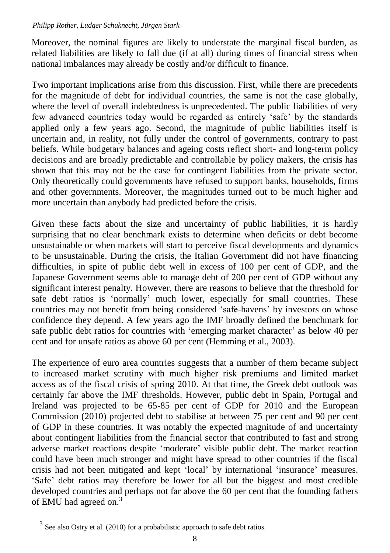#### *Philipp Rother, Ludger Schuknecht, Jürgen Stark*

Moreover, the nominal figures are likely to understate the marginal fiscal burden, as related liabilities are likely to fall due (if at all) during times of financial stress when national imbalances may already be costly and/or difficult to finance.

Two important implications arise from this discussion. First, while there are precedents for the magnitude of debt for individual countries, the same is not the case globally, where the level of overall indebtedness is unprecedented. The public liabilities of very few advanced countries today would be regarded as entirely 'safe' by the standards applied only a few years ago. Second, the magnitude of public liabilities itself is uncertain and, in reality, not fully under the control of governments, contrary to past beliefs. While budgetary balances and ageing costs reflect short- and long-term policy decisions and are broadly predictable and controllable by policy makers, the crisis has shown that this may not be the case for contingent liabilities from the private sector. Only theoretically could governments have refused to support banks, households, firms and other governments. Moreover, the magnitudes turned out to be much higher and more uncertain than anybody had predicted before the crisis.

Given these facts about the size and uncertainty of public liabilities, it is hardly surprising that no clear benchmark exists to determine when deficits or debt become unsustainable or when markets will start to perceive fiscal developments and dynamics to be unsustainable. During the crisis, the Italian Government did not have financing difficulties, in spite of public debt well in excess of 100 per cent of GDP, and the Japanese Government seems able to manage debt of 200 per cent of GDP without any significant interest penalty. However, there are reasons to believe that the threshold for safe debt ratios is 'normally' much lower, especially for small countries. These countries may not benefit from being considered 'safe-havens' by investors on whose confidence they depend. A few years ago the IMF broadly defined the benchmark for safe public debt ratios for countries with 'emerging market character' as below 40 per cent and for unsafe ratios as above 60 per cent (Hemming et al., 2003).

The experience of euro area countries suggests that a number of them became subject to increased market scrutiny with much higher risk premiums and limited market access as of the fiscal crisis of spring 2010. At that time, the Greek debt outlook was certainly far above the IMF thresholds. However, public debt in Spain, Portugal and Ireland was projected to be 65-85 per cent of GDP for 2010 and the European Commission (2010) projected debt to stabilise at between 75 per cent and 90 per cent of GDP in these countries. It was notably the expected magnitude of and uncertainty about contingent liabilities from the financial sector that contributed to fast and strong adverse market reactions despite 'moderate' visible public debt. The market reaction could have been much stronger and might have spread to other countries if the fiscal crisis had not been mitigated and kept 'local' by international 'insurance' measures. 'Safe' debt ratios may therefore be lower for all but the biggest and most credible developed countries and perhaps not far above the 60 per cent that the founding fathers of EMU had agreed on.<sup>3</sup>

 $\overline{a}$ 

<sup>3</sup> See also Ostry et al. (2010) for a probabilistic approach to safe debt ratios.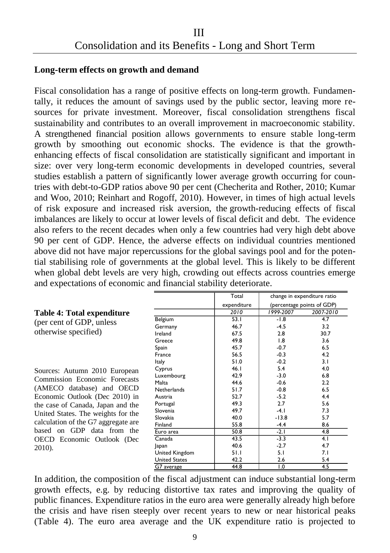#### **Long-term effects on growth and demand**

**Table 4: Total expenditure**  (per cent of GDP, unless otherwise specified)

Sources: Autumn 2010 European Commission Economic Forecasts (AMECO database) and OECD Economic Outlook (Dec 2010) in the case of Canada, Japan and the United States. The weights for the calculation of the G7 aggregate are based on GDP data from the OECD Economic Outlook (Dec

2010).

Fiscal consolidation has a range of positive effects on long-term growth. Fundamentally, it reduces the amount of savings used by the public sector, leaving more resources for private investment. Moreover, fiscal consolidation strengthens fiscal sustainability and contributes to an overall improvement in macroeconomic stability. A strengthened financial position allows governments to ensure stable long-term growth by smoothing out economic shocks. The evidence is that the growthenhancing effects of fiscal consolidation are statistically significant and important in size: over very long-term economic developments in developed countries, several studies establish a pattern of significantly lower average growth occurring for countries with debt-to-GDP ratios above 90 per cent (Checherita and Rother, 2010; Kumar and Woo, 2010; Reinhart and Rogoff, 2010). However, in times of high actual levels of risk exposure and increased risk aversion, the growth-reducing effects of fiscal imbalances are likely to occur at lower levels of fiscal deficit and debt. The evidence also refers to the recent decades when only a few countries had very high debt above 90 per cent of GDP. Hence, the adverse effects on individual countries mentioned above did not have major repercussions for the global savings pool and for the potential stabilising role of governments at the global level. This is likely to be different when global debt levels are very high, crowding out effects across countries emerge and expectations of economic and financial stability deteriorate.

|                      | Total       | change in expenditure ratio |                            |  |
|----------------------|-------------|-----------------------------|----------------------------|--|
|                      | expenditure |                             | (percentage points of GDP) |  |
|                      | 2010        | 1999-2007                   | 2007-2010                  |  |
| Belgium              | 53.1        | $-1.8$                      | 4.7                        |  |
| Germany              | 46.7        | $-4.5$                      | 3.2                        |  |
| Ireland              | 67.5        | 2.8                         | 30.7                       |  |
| Greece               | 49.8        | 1.8                         | 3.6                        |  |
| Spain                | 45.7        | $-0.7$                      | 6.5                        |  |
| France               | 56.5        | $-0.3$                      | 4.2                        |  |
| Italy                | 51.0        | $-0.2$                      | 3.1                        |  |
| Cyprus               | 46.1        | 5.4                         | 4.0                        |  |
| Luxembourg           | 42.9        | $-3.0$                      | 6.8                        |  |
| Malta                | 44.6        | $-0.6$                      | 2.2                        |  |
| <b>Netherlands</b>   | 51.7        | $-0.8$                      | 6.5                        |  |
| Austria              | 52.7        | $-5.2$                      | 4.4                        |  |
| Portugal             | 49.3        | 2.7                         | 5.6                        |  |
| Slovenia             | 49.7        | $-4.1$                      | 7.3                        |  |
| Slovakia             | 40.0        | $-13.8$                     | 5.7                        |  |
| Finland              | 55.8        | $-4.4$                      | 8.6                        |  |
| Euro area            | 50.8        | $-2.1$                      | 4.8                        |  |
| Canada               | 43.5        | $-3.3$                      | 4.1                        |  |
| Japan                | 40.6        | $-2.7$                      | 4.7                        |  |
| United Kingdom       | 51.1        | 5.1                         | 7.1                        |  |
| <b>United States</b> | 42.2        | 2.6                         | 5.4                        |  |
| G7 average           | 44.8        | 1.0                         | 4.5                        |  |

In addition, the composition of the fiscal adjustment can induce substantial long-term growth effects, e.g. by reducing distortive tax rates and improving the quality of public finances. Expenditure ratios in the euro area were generally already high before the crisis and have risen steeply over recent years to new or near historical peaks (Table 4). The euro area average and the UK expenditure ratio is projected to and insect acquisition can increase substantial long to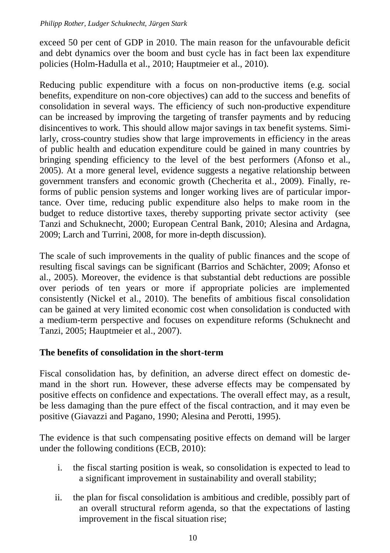exceed 50 per cent of GDP in 2010. The main reason for the unfavourable deficit and debt dynamics over the boom and bust cycle has in fact been lax expenditure policies (Holm-Hadulla et al., 2010; Hauptmeier et al., 2010).

Reducing public expenditure with a focus on non-productive items (e.g. social benefits, expenditure on non-core objectives) can add to the success and benefits of consolidation in several ways. The efficiency of such non-productive expenditure can be increased by improving the targeting of transfer payments and by reducing disincentives to work. This should allow major savings in tax benefit systems. Similarly, cross-country studies show that large improvements in efficiency in the areas of public health and education expenditure could be gained in many countries by bringing spending efficiency to the level of the best performers (Afonso et al., 2005). At a more general level, evidence suggests a negative relationship between government transfers and economic growth (Checherita et al., 2009). Finally, reforms of public pension systems and longer working lives are of particular importance. Over time, reducing public expenditure also helps to make room in the budget to reduce distortive taxes, thereby supporting private sector activity (see Tanzi and Schuknecht, 2000; European Central Bank, 2010; Alesina and Ardagna, 2009; Larch and Turrini, 2008, for more in-depth discussion).

The scale of such improvements in the quality of public finances and the scope of resulting fiscal savings can be significant (Barrios and Schächter, 2009; Afonso et al., 2005). Moreover, the evidence is that substantial debt reductions are possible over periods of ten years or more if appropriate policies are implemented consistently (Nickel et al., 2010). The benefits of ambitious fiscal consolidation can be gained at very limited economic cost when consolidation is conducted with a medium-term perspective and focuses on expenditure reforms (Schuknecht and Tanzi, 2005; Hauptmeier et al., 2007).

#### **The benefits of consolidation in the short-term**

Fiscal consolidation has, by definition, an adverse direct effect on domestic demand in the short run. However, these adverse effects may be compensated by positive effects on confidence and expectations. The overall effect may, as a result, be less damaging than the pure effect of the fiscal contraction, and it may even be positive (Giavazzi and Pagano, 1990; Alesina and Perotti, 1995).

The evidence is that such compensating positive effects on demand will be larger under the following conditions (ECB, 2010):

- i. the fiscal starting position is weak, so consolidation is expected to lead to a significant improvement in sustainability and overall stability;
- ii. the plan for fiscal consolidation is ambitious and credible, possibly part of an overall structural reform agenda, so that the expectations of lasting improvement in the fiscal situation rise;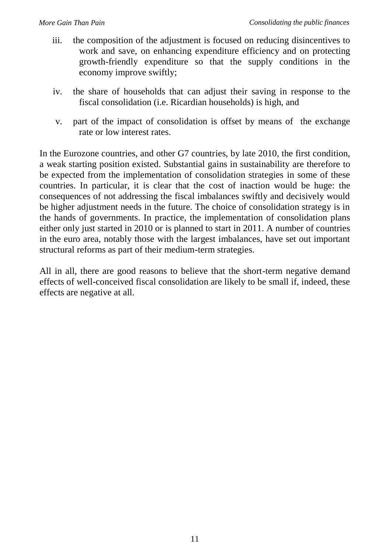- iii. the composition of the adjustment is focused on reducing disincentives to work and save, on enhancing expenditure efficiency and on protecting growth-friendly expenditure so that the supply conditions in the economy improve swiftly;
- iv. the share of households that can adjust their saving in response to the fiscal consolidation (i.e. Ricardian households) is high, and
- v. part of the impact of consolidation is offset by means of the exchange rate or low interest rates.

In the Eurozone countries, and other G7 countries, by late 2010, the first condition, a weak starting position existed. Substantial gains in sustainability are therefore to be expected from the implementation of consolidation strategies in some of these countries. In particular, it is clear that the cost of inaction would be huge: the consequences of not addressing the fiscal imbalances swiftly and decisively would be higher adjustment needs in the future. The choice of consolidation strategy is in the hands of governments. In practice, the implementation of consolidation plans either only just started in 2010 or is planned to start in 2011. A number of countries in the euro area, notably those with the largest imbalances, have set out important structural reforms as part of their medium-term strategies.

All in all, there are good reasons to believe that the short-term negative demand effects of well-conceived fiscal consolidation are likely to be small if, indeed, these effects are negative at all.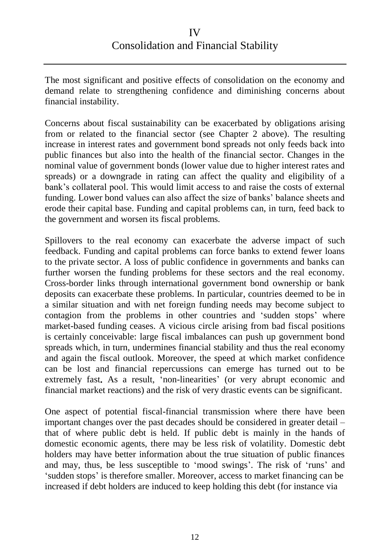The most significant and positive effects of consolidation on the economy and demand relate to strengthening confidence and diminishing concerns about financial instability.

Concerns about fiscal sustainability can be exacerbated by obligations arising from or related to the financial sector (see Chapter 2 above). The resulting increase in interest rates and government bond spreads not only feeds back into public finances but also into the health of the financial sector. Changes in the nominal value of government bonds (lower value due to higher interest rates and spreads) or a downgrade in rating can affect the quality and eligibility of a bank's collateral pool. This would limit access to and raise the costs of external funding. Lower bond values can also affect the size of banks' balance sheets and erode their capital base. Funding and capital problems can, in turn, feed back to the government and worsen its fiscal problems.

Spillovers to the real economy can exacerbate the adverse impact of such feedback. Funding and capital problems can force banks to extend fewer loans to the private sector. A loss of public confidence in governments and banks can further worsen the funding problems for these sectors and the real economy. Cross-border links through international government bond ownership or bank deposits can exacerbate these problems. In particular, countries deemed to be in a similar situation and with net foreign funding needs may become subject to contagion from the problems in other countries and 'sudden stops' where market-based funding ceases. A vicious circle arising from bad fiscal positions is certainly conceivable: large fiscal imbalances can push up government bond spreads which, in turn, undermines financial stability and thus the real economy and again the fiscal outlook. Moreover, the speed at which market confidence can be lost and financial repercussions can emerge has turned out to be extremely fast**.** As a result, 'non-linearities' (or very abrupt economic and financial market reactions) and the risk of very drastic events can be significant.

One aspect of potential fiscal-financial transmission where there have been important changes over the past decades should be considered in greater detail – that of where public debt is held. If public debt is mainly in the hands of domestic economic agents, there may be less risk of volatility. Domestic debt holders may have better information about the true situation of public finances and may, thus, be less susceptible to 'mood swings'. The risk of 'runs' and 'sudden stops' is therefore smaller. Moreover, access to market financing can be increased if debt holders are induced to keep holding this debt (for instance via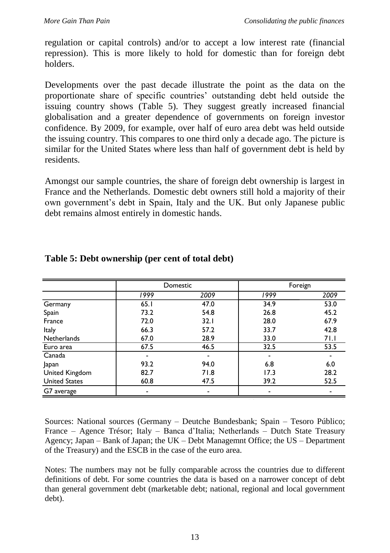regulation or capital controls) and/or to accept a low interest rate (financial repression). This is more likely to hold for domestic than for foreign debt holders.

Developments over the past decade illustrate the point as the data on the proportionate share of specific countries' outstanding debt held outside the issuing country shows (Table 5). They suggest greatly increased financial globalisation and a greater dependence of governments on foreign investor confidence. By 2009, for example, over half of euro area debt was held outside the issuing country. This compares to one third only a decade ago. The picture is similar for the United States where less than half of government debt is held by residents.

Amongst our sample countries, the share of foreign debt ownership is largest in France and the Netherlands. Domestic debt owners still hold a majority of their own government's debt in Spain, Italy and the UK. But only Japanese public debt remains almost entirely in domestic hands.

|                      | Domestic |      |      | Foreign |
|----------------------|----------|------|------|---------|
|                      | 1999     | 2009 | 1999 | 2009    |
| Germany              | 65.1     | 47.0 | 34.9 | 53.0    |
| Spain                | 73.2     | 54.8 | 26.8 | 45.2    |
| France               | 72.0     | 32.1 | 28.0 | 67.9    |
| Italy                | 66.3     | 57.2 | 33.7 | 42.8    |
| <b>Netherlands</b>   | 67.0     | 28.9 | 33.0 | 71.1    |
| Euro area            | 67.5     | 46.5 | 32.5 | 53.5    |
| Canada               |          |      |      |         |
| Japan                | 93.2     | 94.0 | 6.8  | 6.0     |
| United Kingdom       | 82.7     | 71.8 | 17.3 | 28.2    |
| <b>United States</b> | 60.8     | 47.5 | 39.2 | 52.5    |
| G7 average           |          |      |      |         |

#### **Table 5: Debt ownership (per cent of total debt)**

Sources: National sources (Germany – Deutche Bundesbank; Spain – Tesoro Público; France – Agence Trésor; Italy – Banca d'Italia; Netherlands – Dutch State Treasury Agency; Japan – Bank of Japan; the UK – Debt Managemnt Office; the US – Department of the Treasury) and the ESCB in the case of the euro area.

Sources: National sources (Germany - Deutsche Bundesbank; Spain - Tesoro Público; France - Agence France Trésor;

Notes: The numbers may not be fully comparable across the countries due to different definitions of debt. For some countries the data is based on a narrower concept of debt than general government debt (marketable debt; national, regional and local government debt).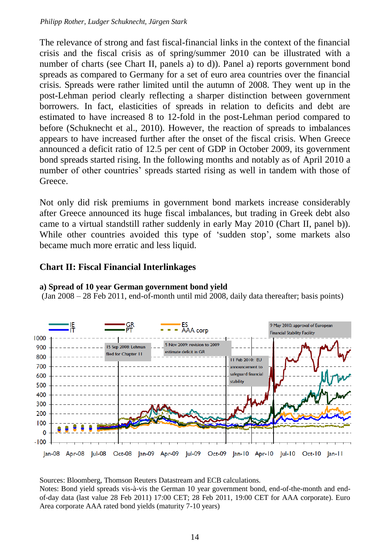The relevance of strong and fast fiscal-financial links in the context of the financial crisis and the fiscal crisis as of spring/summer 2010 can be illustrated with a number of charts (see Chart II, panels a) to d)). Panel a) reports government bond spreads as compared to Germany for a set of euro area countries over the financial crisis. Spreads were rather limited until the autumn of 2008. They went up in the post-Lehman period clearly reflecting a sharper distinction between government borrowers. In fact, elasticities of spreads in relation to deficits and debt are estimated to have increased 8 to 12-fold in the post-Lehman period compared to before (Schuknecht et al., 2010). However, the reaction of spreads to imbalances appears to have increased further after the onset of the fiscal crisis. When Greece announced a deficit ratio of 12.5 per cent of GDP in October 2009, its government bond spreads started rising. In the following months and notably as of April 2010 a number of other countries' spreads started rising as well in tandem with those of Greece.

Not only did risk premiums in government bond markets increase considerably after Greece announced its huge fiscal imbalances, but trading in Greek debt also came to a virtual standstill rather suddenly in early May 2010 (Chart II, panel b)). While other countries avoided this type of 'sudden stop', some markets also became much more erratic and less liquid.

#### **Chart II: Fiscal Financial Interlinkages**



#### **a) Spread of 10 year German government bond yield**

(Jan 2008 – 28 Feb 2011, end-of-month until mid 2008, daily data thereafter; basis points)

Sources: Bloomberg, Thomson Reuters Datastream and ECB calculations.

Notes: Bond yield spreads vis-à-vis the German 10 year government bond, end-of-the-month and endof-day data (last value 28 Feb 2011) 17:00 CET; 28 Feb 2011, 19:00 CET for AAA corporate). Euro Area corporate AAA rated bond yields (maturity 7-10 years)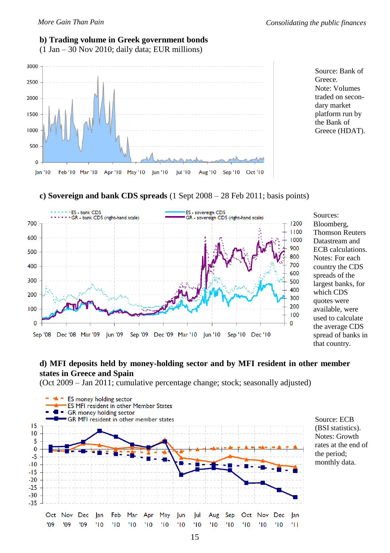#### **b) Trading volume in Greek government bonds**

(1 Jan – 30 Nov 2010; daily data; EUR millions)





**c) Sovereign and bank CDS spreads** (1 Sept 2008 – 28 Feb 2011; basis points)



Sources: Bloomberg, Thomson Reuters Datastream and ECB calculations. Notes: For each country the CDS spreads of the largest banks, for which CDS quotes were available, were used to calculate the average CDS spread of banks in that country.

#### **d) MFI deposits held by money-holding sector and by MFI resident in other member states in Greece and Spain**

(Oct 2009 – Jan 2011; cumulative percentage change; stock; seasonally adjusted)



Source: ECB (BSI statistics). Notes: Growth rates at the end of the period; monthly data.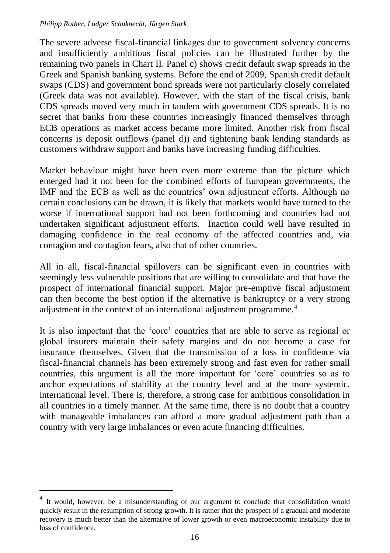#### *Philipp Rother, Ludger Schuknecht, Jürgen Stark*

The severe adverse fiscal-financial linkages due to government solvency concerns and insufficiently ambitious fiscal policies can be illustrated further by the remaining two panels in Chart II. Panel c) shows credit default swap spreads in the Greek and Spanish banking systems. Before the end of 2009, Spanish credit default swaps (CDS) and government bond spreads were not particularly closely correlated (Greek data was not available). However, with the start of the fiscal crisis, bank CDS spreads moved very much in tandem with government CDS spreads. It is no secret that banks from these countries increasingly financed themselves through ECB operations as market access became more limited. Another risk from fiscal concerns is deposit outflows (panel d)) and tightening bank lending standards as customers withdraw support and banks have increasing funding difficulties.

Market behaviour might have been even more extreme than the picture which emerged had it not been for the combined efforts of European governments, the IMF and the ECB as well as the countries' own adjustment efforts. Although no certain conclusions can be drawn, it is likely that markets would have turned to the worse if international support had not been forthcoming and countries had not undertaken significant adjustment efforts. Inaction could well have resulted in damaging confidence in the real economy of the affected countries and, via contagion and contagion fears, also that of other countries.

All in all, fiscal-financial spillovers can be significant even in countries with seemingly less vulnerable positions that are willing to consolidate and that have the prospect of international financial support. Major pre-emptive fiscal adjustment can then become the best option if the alternative is bankruptcy or a very strong adjustment in the context of an international adjustment programme.<sup>4</sup>

It is also important that the 'core' countries that are able to serve as regional or global insurers maintain their safety margins and do not become a case for insurance themselves. Given that the transmission of a loss in confidence via fiscal-financial channels has been extremely strong and fast even for rather small countries, this argument is all the more important for 'core' countries so as to anchor expectations of stability at the country level and at the more systemic, international level. There is, therefore, a strong case for ambitious consolidation in all countries in a timely manner. At the same time, there is no doubt that a country with manageable imbalances can afford a more gradual adjustment path than a country with very large imbalances or even acute financing difficulties.

 $\overline{a}$ 

<sup>4</sup> It would, however, be a misunderstanding of our argument to conclude that consolidation would quickly result in the resumption of strong growth. It is rather that the prospect of a gradual and moderate recovery is much better than the alternative of lower growth or even macroeconomic instability due to loss of confidence.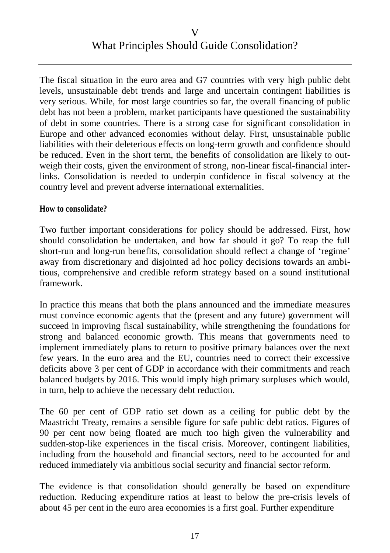#### V What Principles Should Guide Consolidation?

The fiscal situation in the euro area and G7 countries with very high public debt levels, unsustainable debt trends and large and uncertain contingent liabilities is very serious. While, for most large countries so far, the overall financing of public debt has not been a problem, market participants have questioned the sustainability of debt in some countries. There is a strong case for significant consolidation in Europe and other advanced economies without delay. First, unsustainable public liabilities with their deleterious effects on long-term growth and confidence should be reduced. Even in the short term, the benefits of consolidation are likely to outweigh their costs, given the environment of strong, non-linear fiscal-financial interlinks. Consolidation is needed to underpin confidence in fiscal solvency at the country level and prevent adverse international externalities.

#### **How to consolidate?**

Two further important considerations for policy should be addressed. First, how should consolidation be undertaken, and how far should it go? To reap the full short-run and long-run benefits, consolidation should reflect a change of 'regime' away from discretionary and disjointed ad hoc policy decisions towards an ambitious, comprehensive and credible reform strategy based on a sound institutional framework.

In practice this means that both the plans announced and the immediate measures must convince economic agents that the (present and any future) government will succeed in improving fiscal sustainability, while strengthening the foundations for strong and balanced economic growth. This means that governments need to implement immediately plans to return to positive primary balances over the next few years. In the euro area and the EU, countries need to correct their excessive deficits above 3 per cent of GDP in accordance with their commitments and reach balanced budgets by 2016. This would imply high primary surpluses which would, in turn, help to achieve the necessary debt reduction.

The 60 per cent of GDP ratio set down as a ceiling for public debt by the Maastricht Treaty, remains a sensible figure for safe public debt ratios. Figures of 90 per cent now being floated are much too high given the vulnerability and sudden-stop-like experiences in the fiscal crisis. Moreover, contingent liabilities, including from the household and financial sectors, need to be accounted for and reduced immediately via ambitious social security and financial sector reform.

The evidence is that consolidation should generally be based on expenditure reduction. Reducing expenditure ratios at least to below the pre-crisis levels of about 45 per cent in the euro area economies is a first goal. Further expenditure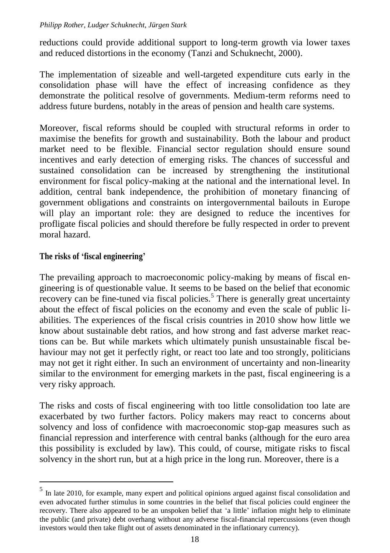reductions could provide additional support to long-term growth via lower taxes and reduced distortions in the economy (Tanzi and Schuknecht, 2000).

The implementation of sizeable and well-targeted expenditure cuts early in the consolidation phase will have the effect of increasing confidence as they demonstrate the political resolve of governments. Medium-term reforms need to address future burdens, notably in the areas of pension and health care systems.

Moreover, fiscal reforms should be coupled with structural reforms in order to maximise the benefits for growth and sustainability. Both the labour and product market need to be flexible. Financial sector regulation should ensure sound incentives and early detection of emerging risks. The chances of successful and sustained consolidation can be increased by strengthening the institutional environment for fiscal policy-making at the national and the international level. In addition, central bank independence, the prohibition of monetary financing of government obligations and constraints on intergovernmental bailouts in Europe will play an important role: they are designed to reduce the incentives for profligate fiscal policies and should therefore be fully respected in order to prevent moral hazard.

#### **The risks of 'fiscal engineering'**

 $\overline{a}$ 

The prevailing approach to macroeconomic policy-making by means of fiscal engineering is of questionable value. It seems to be based on the belief that economic recovery can be fine-tuned via fiscal policies.<sup>5</sup> There is generally great uncertainty about the effect of fiscal policies on the economy and even the scale of public liabilities. The experiences of the fiscal crisis countries in 2010 show how little we know about sustainable debt ratios, and how strong and fast adverse market reactions can be. But while markets which ultimately punish unsustainable fiscal behaviour may not get it perfectly right, or react too late and too strongly, politicians may not get it right either. In such an environment of uncertainty and non-linearity similar to the environment for emerging markets in the past, fiscal engineering is a very risky approach.

The risks and costs of fiscal engineering with too little consolidation too late are exacerbated by two further factors. Policy makers may react to concerns about solvency and loss of confidence with macroeconomic stop-gap measures such as financial repression and interference with central banks (although for the euro area this possibility is excluded by law). This could, of course, mitigate risks to fiscal solvency in the short run, but at a high price in the long run. Moreover, there is a

<sup>5</sup> In late 2010, for example, many expert and political opinions argued against fiscal consolidation and even advocated further stimulus in some countries in the belief that fiscal policies could engineer the recovery. There also appeared to be an unspoken belief that 'a little' inflation might help to eliminate the public (and private) debt overhang without any adverse fiscal-financial repercussions (even though investors would then take flight out of assets denominated in the inflationary currency).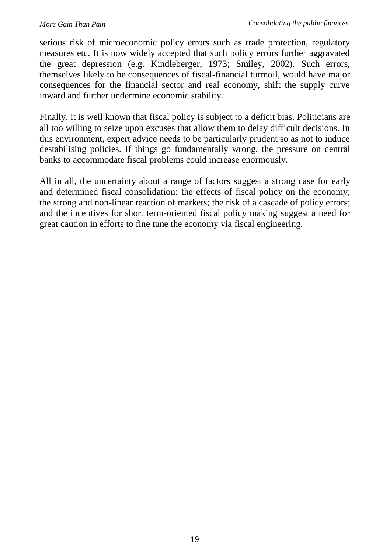serious risk of microeconomic policy errors such as trade protection, regulatory measures etc. It is now widely accepted that such policy errors further aggravated the great depression (e.g. Kindleberger, 1973; Smiley, 2002). Such errors, themselves likely to be consequences of fiscal-financial turmoil, would have major consequences for the financial sector and real economy, shift the supply curve inward and further undermine economic stability.

Finally, it is well known that fiscal policy is subject to a deficit bias. Politicians are all too willing to seize upon excuses that allow them to delay difficult decisions. In this environment, expert advice needs to be particularly prudent so as not to induce destabilising policies. If things go fundamentally wrong, the pressure on central banks to accommodate fiscal problems could increase enormously.

All in all, the uncertainty about a range of factors suggest a strong case for early and determined fiscal consolidation: the effects of fiscal policy on the economy; the strong and non-linear reaction of markets; the risk of a cascade of policy errors; and the incentives for short term-oriented fiscal policy making suggest a need for great caution in efforts to fine tune the economy via fiscal engineering.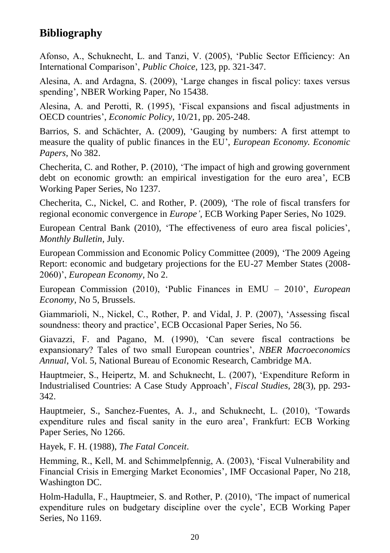### **Bibliography**

Afonso, A., Schuknecht, L. and Tanzi, V. (2005), 'Public Sector Efficiency: An International Comparison', *Public Choice*, 123, pp. 321-347.

Alesina, A. and Ardagna, S. (2009), 'Large changes in fiscal policy: taxes versus spending'*,* NBER Working Paper, No 15438.

Alesina, A. and Perotti, R. (1995), 'Fiscal expansions and fiscal adjustments in OECD countries', *Economic Policy*, 10/21, pp. 205-248.

Barrios, S. and Schächter, A. (2009), 'Gauging by numbers: A first attempt to measure the quality of public finances in the EU', *European Economy. Economic Papers*, No 382.

Checherita, C. and Rother, P. (2010), 'The impact of high and growing government debt on economic growth: an empirical investigation for the euro area'*,* ECB Working Paper Series*,* No 1237.

Checherita, C., Nickel, C. and Rother, P. (2009), 'The role of fiscal transfers for regional economic convergence in *Europe',* ECB Working Paper Series, No 1029.

European Central Bank (2010), 'The effectiveness of euro area fiscal policies', *Monthly Bulletin*, July.

European Commission and Economic Policy Committee (2009), 'The 2009 Ageing Report: economic and budgetary projections for the EU-27 Member States (2008- 2060)', *European Economy*, No 2.

European Commission (2010), 'Public Finances in EMU – 2010', *European Economy*, No 5, Brussels.

Giammarioli, N., Nickel, C., Rother, P. and Vidal, J. P. (2007), 'Assessing fiscal soundness: theory and practice', ECB Occasional Paper Series, No 56.

Giavazzi, F. and Pagano, M. (1990), 'Can severe fiscal contractions be expansionary? Tales of two small European countries', *NBER Macroeconomics Annual*, Vol. 5, National Bureau of Economic Research, Cambridge MA.

Hauptmeier, S., Heipertz, M. and Schuknecht, L. (2007), 'Expenditure Reform in Industrialised Countries: A Case Study Approach', *Fiscal Studies*, 28(3), pp. 293- 342.

Hauptmeier, S., Sanchez-Fuentes, A. J., and Schuknecht, L. (2010), 'Towards expenditure rules and fiscal sanity in the euro area', Frankfurt: ECB Working Paper Series, No 1266.

Hayek, F. H. (1988), *The Fatal Conceit*.

Hemming, R., Kell, M. and Schimmelpfennig, A. (2003), 'Fiscal Vulnerability and Financial Crisis in Emerging Market Economies'*,* IMF Occasional Paper, No 218, Washington DC.

Holm-Hadulla, F., Hauptmeier, S. and Rother, P. (2010), 'The impact of numerical expenditure rules on budgetary discipline over the cycle'*,* ECB Working Paper Series, No 1169.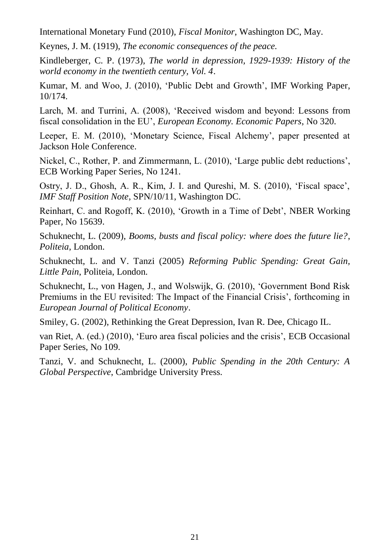International Monetary Fund (2010), *Fiscal Monitor*, Washington DC, May.

Keynes, J. M. (1919), *The economic consequences of the peace.*

Kindleberger, C. P. (1973), *The world in depression, 1929-1939: History of the world economy in the twentieth century, Vol. 4*.

Kumar, M. and Woo, J. (2010), 'Public Debt and Growth', IMF Working Paper, 10/174.

Larch, M. and Turrini, A. (2008), 'Received wisdom and beyond: Lessons from fiscal consolidation in the EU', *European Economy. Economic Papers*, No 320.

Leeper, E. M. (2010), 'Monetary Science, Fiscal Alchemy', paper presented at Jackson Hole Conference.

Nickel, C., Rother, P. and Zimmermann, L. (2010), 'Large public debt reductions', ECB Working Paper Series*,* No 1241.

Ostry, J. D., Ghosh, A. R., Kim, J. I. and Qureshi, M. S. (2010), 'Fiscal space', *IMF Staff Position Note*, SPN/10/11, Washington DC.

Reinhart, C. and Rogoff, K. (2010), 'Growth in a Time of Debt', NBER Working Paper*,* No 15639.

Schuknecht, L. (2009), *Booms, busts and fiscal policy: where does the future lie?*, *Politeia*, London.

Schuknecht, L. and V. Tanzi (2005) *Reforming Public Spending: Great Gain, Little Pain*, Politeia, London.

Schuknecht, L., von Hagen, J., and Wolswijk, G. (2010), 'Government Bond Risk Premiums in the EU revisited: The Impact of the Financial Crisis', forthcoming in *European Journal of Political Economy*.

Smiley, G. (2002), Rethinking the Great Depression, Ivan R. Dee, Chicago IL.

van Riet, A. (ed.) (2010), 'Euro area fiscal policies and the crisis', ECB Occasional Paper Series, No 109.

Tanzi, V. and Schuknecht, L. (2000), *Public Spending in the 20th Century: A Global Perspective*, Cambridge University Press.